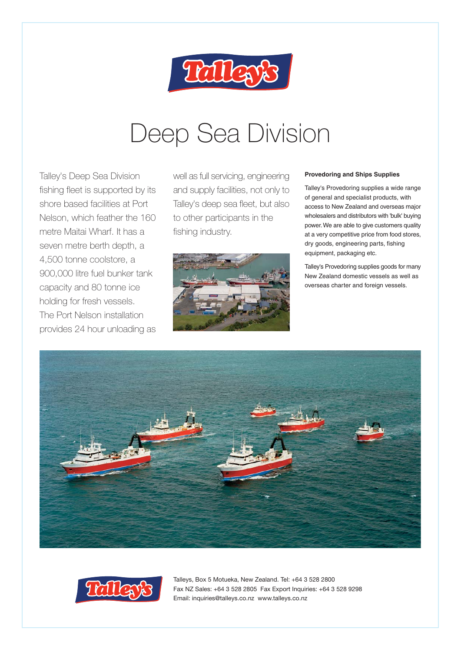

# Deep Sea Division

Talley's Deep Sea Division fishing fleet is supported by its shore based facilities at Port Nelson, which feather the 160 metre Maitai Wharf. It has a seven metre berth depth, a 4,500 tonne coolstore, a 900,000 litre fuel bunker tank capacity and 80 tonne ice holding for fresh vessels. The Port Nelson installation provides 24 hour unloading as

well as full servicing, engineering and supply facilities, not only to Talley's deep sea fleet, but also to other participants in the fishing industry.



#### **Provedoring and Ships Supplies**

Talley's Provedoring supplies a wide range of general and specialist products, with access to New Zealand and overseas major wholesalers and distributors with 'bulk' buying power. We are able to give customers quality at a very competitive price from food stores, dry goods, engineering parts, fishing equipment, packaging etc.

Talley's Provedoring supplies goods for many New Zealand domestic vessels as well as overseas charter and foreign vessels.



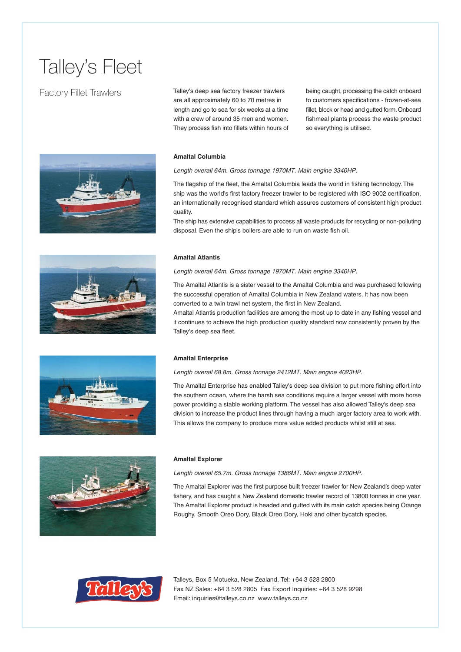## Talley's Fleet

## Factory Fillet Trawlers





being caught, processing the catch onboard to customers specifications - frozen-at-sea fillet, block or head and gutted form. Onboard fishmeal plants process the waste product so everything is utilised.

#### **Amaltal Columbia**

Length overall 64m. Gross tonnage 1970MT. Main engine 3340HP.

The flagship of the fleet, the Amaltal Columbia leads the world in fishing technology. The ship was the world's first factory freezer trawler to be registered with ISO 9002 certification, an internationally recognised standard which assures customers of consistent high product quality.

The ship has extensive capabilities to process all waste products for recycling or non-polluting disposal. Even the ship's boilers are able to run on waste fish oil.

#### **Amaltal Atlantis**

Length overall 64m. Gross tonnage 1970MT. Main engine 3340HP.

The Amaltal Atlantis is a sister vessel to the Amaltal Columbia and was purchased following the successful operation of Amaltal Columbia in New Zealand waters. It has now been converted to a twin trawl net system, the first in New Zealand.

Amaltal Atlantis production facilities are among the most up to date in any fishing vessel and it continues to achieve the high production quality standard now consistently proven by the Talley's deep sea fleet.



#### **Amaltal Enterprise**

Length overall 68.8m. Gross tonnage 2412MT. Main engine 4023HP.

The Amaltal Enterprise has enabled Talley's deep sea division to put more fishing effort into the southern ocean, where the harsh sea conditions require a larger vessel with more horse power providing a stable working platform. The vessel has also allowed Talley's deep sea division to increase the product lines through having a much larger factory area to work with. This allows the company to produce more value added products whilst still at sea.



#### **Amaltal Explorer**

Length overall 65.7m. Gross tonnage 1386MT. Main engine 2700HP.

The Amaltal Explorer was the first purpose built freezer trawler for New Zealand's deep water fishery, and has caught a New Zealand domestic trawler record of 13800 tonnes in one year. The Amaltal Explorer product is headed and gutted with its main catch species being Orange Roughy, Smooth Oreo Dory, Black Oreo Dory, Hoki and other bycatch species.

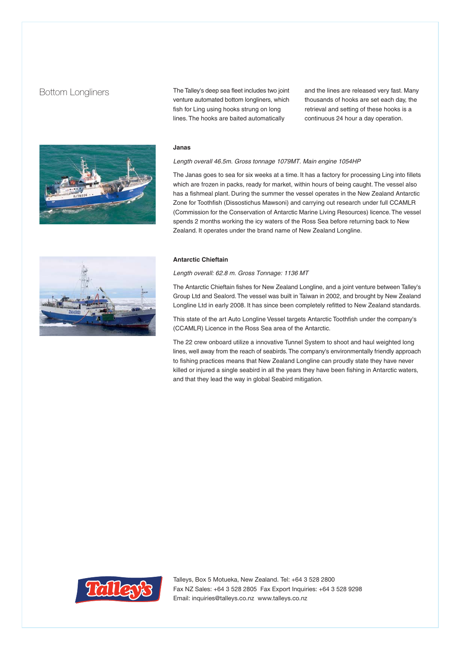### Bottom Longliners



The Talley's deep sea fleet includes two joint venture automated bottom longliners, which fish for Ling using hooks strung on long lines. The hooks are baited automatically

and the lines are released very fast. Many thousands of hooks are set each day, the retrieval and setting of these hooks is a continuous 24 hour a day operation.

#### **Janas**

Length overall 46.5m. Gross tonnage 1079MT. Main engine 1054HP

The Janas goes to sea for six weeks at a time. It has a factory for processing Ling into fillets which are frozen in packs, ready for market, within hours of being caught. The vessel also has a fishmeal plant. During the summer the vessel operates in the New Zealand Antarctic Zone for Toothfish (Dissostichus Mawsoni) and carrying out research under full CCAMLR (Commission for the Conservation of Antarctic Marine Living Resources) licence. The vessel spends 2 months working the icy waters of the Ross Sea before returning back to New Zealand. It operates under the brand name of New Zealand Longline.

#### **Antarctic Chieftain**

Length overall: 62.8 m. Gross Tonnage: 1136 MT

The Antarctic Chieftain fishes for New Zealand Longline, and a joint venture between Talley's Group Ltd and Sealord. The vessel was built in Taiwan in 2002, and brought by New Zealand Longline Ltd in early 2008. It has since been completely refitted to New Zealand standards.

This state of the art Auto Longline Vessel targets Antarctic Toothfish under the company's (CCAMLR) Licence in the Ross Sea area of the Antarctic.

The 22 crew onboard utilize a innovative Tunnel System to shoot and haul weighted long lines, well away from the reach of seabirds. The company's environmentally friendly approach to fishing practices means that New Zealand Longline can proudly state they have never killed or injured a single seabird in all the years they have been fishing in Antarctic waters, and that they lead the way in global Seabird mitigation.